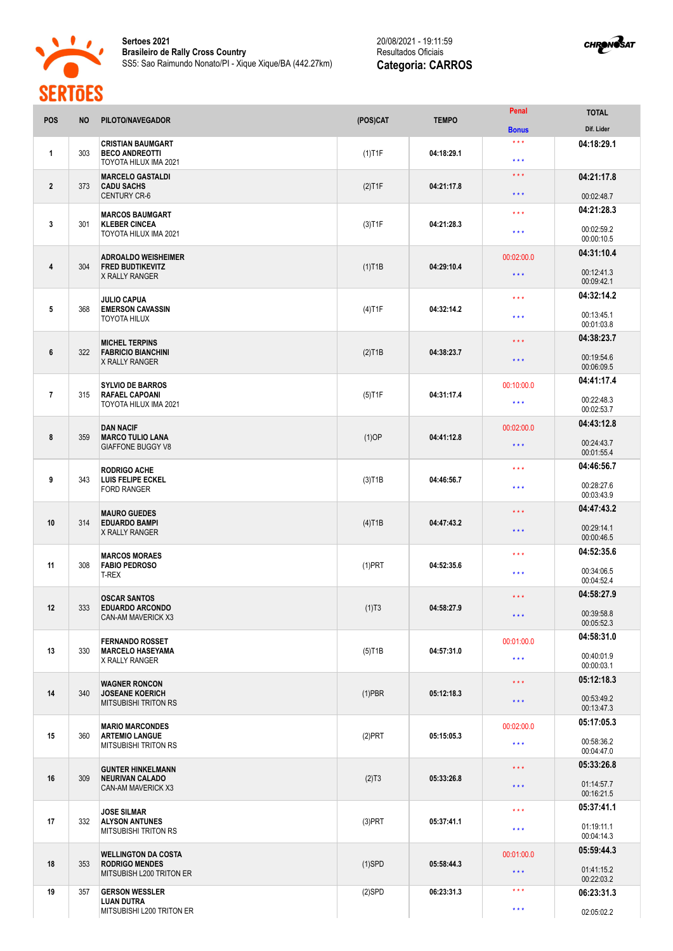



| <b>POS</b>       | <b>NO</b> | PILOTO/NAVEGADOR                                                                | (POS)CAT  | <b>TEMPO</b> | Penal                                   | <b>TOTAL</b><br>Dif. Lider |
|------------------|-----------|---------------------------------------------------------------------------------|-----------|--------------|-----------------------------------------|----------------------------|
|                  |           | <b>CRISTIAN BAUMGART</b>                                                        |           |              | <b>Bonus</b><br>$\star$ $\star$ $\star$ | 04:18:29.1                 |
| 1                | 303       | <b>BECO ANDREOTTI</b><br>TOYOTA HILUX IMA 2021                                  | $(1)$ T1F | 04:18:29.1   | $* * *$                                 |                            |
| $\overline{2}$   | 373       | <b>MARCELO GASTALDI</b><br><b>CADU SACHS</b>                                    | $(2)$ T1F | 04:21:17.8   | $\star$ $\star$ $\star$                 | 04:21:17.8                 |
|                  |           | <b>CENTURY CR-6</b>                                                             |           |              | $\star\star\star$                       | 00:02:48.7                 |
| 3                | 301       | <b>MARCOS BAUMGART</b><br><b>KLEBER CINCEA</b><br>TOYOTA HILUX IMA 2021         | $(3)$ T1F | 04:21:28.3   | $* * *$                                 | 04:21:28.3                 |
|                  |           |                                                                                 |           |              | $* * *$                                 | 00:02:59.2<br>00:00:10.5   |
| 4                | 304       | <b>ADROALDO WEISHEIMER</b><br><b>FRED BUDTIKEVITZ</b><br><b>X RALLY RANGER</b>  | $(1)$ T1B | 04:29:10.4   | 00:02:00.0                              | 04:31:10.4                 |
|                  |           |                                                                                 |           |              | $\star$ $\star$ $\star$                 | 00:12:41.3<br>00:09:42.1   |
| $5\phantom{.0}$  | 368       | <b>JULIO CAPUA</b><br><b>EMERSON CAVASSIN</b><br><b>TOYOTA HILUX</b>            | $(4)$ T1F | 04:32:14.2   | $\star\star\star$                       | 04:32:14.2                 |
|                  |           |                                                                                 |           |              | $***$                                   | 00:13:45.1<br>00:01:03.8   |
|                  | 322       | <b>MICHEL TERPINS</b><br><b>FABRICIO BIANCHINI</b><br><b>X RALLY RANGER</b>     |           | 04:38:23.7   | $\star$ $\star$ $\star$                 | 04:38:23.7                 |
| $\boldsymbol{6}$ |           |                                                                                 | $(2)$ T1B |              | $\star\star\star$                       | 00:19:54.6<br>00:06:09.5   |
|                  |           | <b>SYLVIO DE BARROS</b><br><b>RAFAEL CAPOANI</b><br>TOYOTA HILUX IMA 2021       | $(5)$ T1F | 04:31:17.4   | 00:10:00.0                              | 04:41:17.4                 |
| $\overline{7}$   | 315       |                                                                                 |           |              | $* * *$                                 | 00:22:48.3                 |
|                  |           |                                                                                 |           |              |                                         | 00:02:53.7<br>04:43:12.8   |
| 8                | 359       | <b>DAN NACIF</b><br><b>MARCO TULIO LANA</b><br><b>GIAFFONE BUGGY V8</b>         | $(1)$ OP  | 04:41:12.8   | 00:02:00.0<br>$\star$ $\star$ $\star$   | 00:24:43.7<br>00:01:55.4   |
|                  | 343       | <b>RODRIGO ACHE</b><br><b>LUIS FELIPE ECKEL</b><br><b>FORD RANGER</b>           | $(3)$ T1B | 04:46:56.7   | $* * *$                                 | 04:46:56.7                 |
| 9                |           |                                                                                 |           |              | $\star$ $\star$ $\star$                 | 00:28:27.6<br>00:03:43.9   |
|                  | 314       | <b>MAURO GUEDES</b><br><b>EDUARDO BAMPI</b><br><b>X RALLY RANGER</b>            | $(4)$ T1B | 04:47:43.2   | $\star \star \star$                     | 04:47:43.2                 |
| 10               |           |                                                                                 |           |              | $\star\star\star$                       | 00:29:14.1<br>00:00:46.5   |
|                  |           | <b>MARCOS MORAES</b>                                                            |           | 04:52:35.6   | $\star \star \star$                     | 04:52:35.6                 |
| 11               | 308       | <b>FABIO PEDROSO</b><br>T-REX                                                   | $(1)$ PRT |              | $***$                                   | 00:34:06.5<br>00:04:52.4   |
|                  |           | <b>OSCAR SANTOS</b>                                                             |           | 04:58:27.9   | $\star$ $\star$ $\star$                 | 04:58:27.9                 |
| 12               | 333       | <b>EDUARDO ARCONDO</b><br><b>CAN-AM MAVERICK X3</b>                             | (1)T3     |              | $\star\star\star$                       | 00:39:58.8<br>00:05:52.3   |
|                  |           | <b>FERNANDO ROSSET</b><br><b>MARCELO HASEYAMA</b><br><b>X RALLY RANGER</b>      | $(5)$ T1B | 04:57:31.0   | 00:01:00.0                              | 04:58:31.0                 |
| 13               | 330       |                                                                                 |           |              | $\star\star\star$                       | 00:40:01.9<br>00:00:03.1   |
| 14               | 340       | <b>WAGNER RONCON</b><br><b>JOSEANE KOERICH</b><br><b>MITSUBISHI TRITON RS</b>   | $(1)$ PBR | 05:12:18.3   | $\star\star\star$                       | 05:12:18.3                 |
|                  |           |                                                                                 |           |              | $\star\star\star$                       | 00:53:49.2<br>00:13:47.3   |
|                  | 360       | <b>MARIO MARCONDES</b><br><b>ARTEMIO LANGUE</b><br><b>MITSUBISHI TRITON RS</b>  | $(2)$ PRT | 05:15:05.3   | 00:02:00.0                              | 05:17:05.3                 |
| 15               |           |                                                                                 |           |              | $\star\star\star$                       | 00:58:36.2<br>00:04:47.0   |
| 16               | 309       | <b>GUNTER HINKELMANN</b><br><b>NEURIVAN CALADO</b><br>CAN-AM MAVERICK X3        | (2)T3     | 05:33:26.8   | $\star$ $\star$ $\star$                 | 05:33:26.8                 |
|                  |           |                                                                                 |           |              | $\star\star\star$                       | 01:14:57.7<br>00:16:21.5   |
|                  | 332       | <b>JOSE SILMAR</b><br><b>ALYSON ANTUNES</b><br><b>MITSUBISHI TRITON RS</b>      | $(3)$ PRT | 05:37:41.1   | $\star\star\star$                       | 05:37:41.1                 |
| 17               |           |                                                                                 |           |              | $\star\star\star$                       | 01:19:11.1<br>00:04:14.3   |
|                  |           | <b>WELLINGTON DA COSTA</b><br><b>RODRIGO MENDES</b><br>MITSUBISH L200 TRITON ER | $(1)$ SPD | 05:58:44.3   | 00:01:00.0                              | 05:59:44.3                 |
| 18               | 353       |                                                                                 |           |              | $\star\star\star$                       | 01:41:15.2<br>00:22:03.2   |
| 19               | 357       | <b>GERSON WESSLER</b>                                                           | $(2)$ SPD | 06:23:31.3   | $* * *$                                 | 06:23:31.3                 |
|                  |           | <b>LUAN DUTRA</b><br>MITSUBISHI L200 TRITON ER                                  |           |              | $\star\star\star$                       | 02:05:02.2                 |